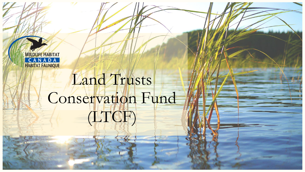

# Land Trusts Conservation Fund (LTCF)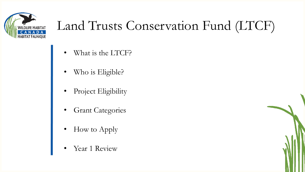

### Land Trusts Conservation Fund (LTCF)

- What is the LTCF?
- Who is Eligible?
- Project Eligibility
- **Grant Categories**
- How to Apply
- Year 1 Review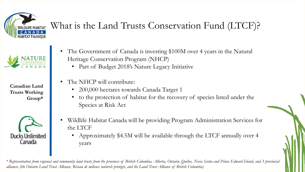

### What is the Land Trusts Conservation Fund (LTCF)?



**Canadian Land Trusts Working Group\***



- The Government of Canada is investing \$100M over 4 years in the Natural Heritage Conservation Program (NHCP)
	- Part of Budget 2018's Nature Legacy Initiative
- The NHCP will contribute:
	- 200,000 hectares towards Canada Target 1
	- to the protection of habitat for the recovery of species listed under the Species at Risk Act
- Wildlife Habitat Canada will be providing Program Administration Services for the LTCF
	- Approximately \$4.5M will be available through the LTCF annually over 4 years

*\* Representation from regional and community land trusts from the provinces of British Columbia, Alberta, Ontario, Québec, Nova Scotia and Prince Edward Island, and 3 provincial alliances (the Ontario Land Trust Alliance, Réseau de milieux naturels protégés, and the Land Trust Alliance of British Columbia)*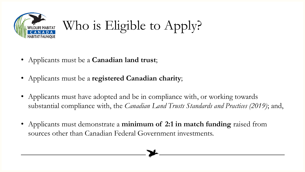

Who is Eligible to Apply?

- Applicants must be a **Canadian land trust**;
- Applicants must be a **registered Canadian charity**;
- Applicants must have adopted and be in compliance with, or working towards substantial compliance with, the *Canadian Land Trusts Standards and Practices (2019)*; and,
- Applicants must demonstrate a **minimum of 2:1 in match funding** raised from sources other than Canadian Federal Government investments.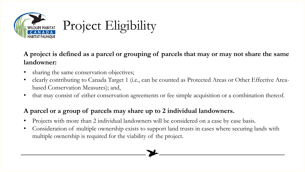

**A project is defined as a parcel or grouping of parcels that may or may not share the same landowner:**

- sharing the same conservation objectives;
- clearly contributing to Canada Target 1 (i.e., can be counted as Protected Areas or Other Effective Areabased Conservation Measures); and,
- that may consist of either conservation agreements or fee simple acquisition or a combination thereof.

#### **A parcel or a group of parcels may share up to 2 individual landowners.**

- Projects with more than 2 individual landowners will be considered on a case by case basis.
- Consideration of multiple ownership exists to support land trusts in cases where securing lands with multiple ownership is required for the viability of the project.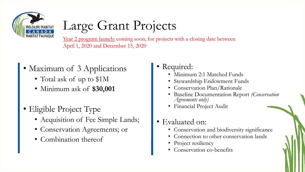

# Large Grant Projects

Year 2 program launch: coming soon, for projects with a closing date between April 1, 2020 and December 15, 2020

- Maximum of 3 Applications
	- Total ask of up to \$1M
	- Minimum ask of **\$30,001**
- Eligible Project Type
	- Acquisition of Fee Simple Lands;
	- Conservation Agreements; or
	- Combination thereof

#### • Required:

- Minimum 2:1 Matched Funds
- Stewardship Endowment Funds
- Conservation Plan/Rationale
- Baseline Documentation Report *(Conservation Agreements only)*
- Financial Project Audit
- Evaluated on:
	- Conservation and biodiversity significance
	- Connection to other conservation lands
	- Project resiliency
	- Conservation co-benefits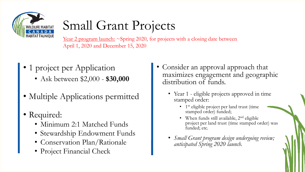

## Small Grant Projects

Year 2 program launch: ~Spring 2020, for projects with a closing date between April 1, 2020 and December 15, 2020

- 1 project per Application
	- Ask between \$2,000 **\$30,000**
- Multiple Applications permitted
- Required:
	- Minimum 2:1 Matched Funds
	- Stewardship Endowment Funds
	- Conservation Plan/Rationale
	- Project Financial Check
- Consider an approval approach that maximizes engagement and geographic distribution of funds.
	- Year 1 eligible projects approved in time stamped order:
		- 1 st eligible project per land trust (time stamped order) funded;
		- When funds still available,  $2<sup>nd</sup>$  eligible project per land trust (time stamped order) was funded; etc.
	- *Small Grant program design undergoing review; anticipated Spring 2020 launch.*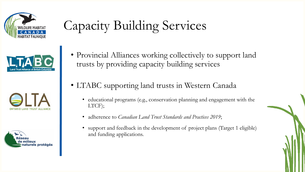







# Capacity Building Services

- Provincial Alliances working collectively to support land trusts by providing capacity building services
- LTABC supporting land trusts in Western Canada
	- educational programs (e.g., conservation planning and engagement with the LTCF);
	- adherence to *Canadian Land Trust Standards and Practices 2019*;
	- support and feedback in the development of project plans (Target 1 eligible) and funding applications.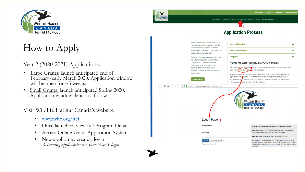

### How to Apply

#### Year 2 (2020-2021) Applications:

- Large Grants: launch anticipated end of February/early March 2020. Application window will be open for  $\sim$  5 weeks.
- Small Grants: launch anticipated Spring 2020. Application window details to follow.

Visit Wildlife Habitat Canada's website

- [www.whc.org/ltcf](http://www.whc.org/ltcf)
- Once launched, view full Program Details
- Access Online Grant Application System
- New applicants: create a login *Returning applicants: use your Year 1 login*



 $\leftarrow$   $\rightarrow$   $\sigma$   $\alpha$ 

APPLICANTS GRANT CATEGORIES APPLICATION PROCESS CAPACITY BUILDING SERVICES

**1**

**Application Process** 

#### To submit an application, all applicants must **Dates and Deadlines** have read, acknowledge and agree with the requirements of the program Guidelines, Appendices and Glossary for their respective **Important Documents** category (large or small grants). **Templates** Successful proponents are expected to enter into a signed agreement with the Nature Conservancy of Canada regarding the PREPARE AND SUBMIT YOUR GRANT APPLICATION ONLINE exchange of funds. All applicants are Grant applications must be procedent and submitted through Wildlife Habitat Canada's online<br>grant system<mark>(, Click here to</mark> acknow to logon page. expected to review the draft Funding Agreement prior to preparing and submitting an annlication New users must create a new account to access the system. Please ensure you save your logon details. You dan work on your application in stages using this system, save your **Contact WHO** progress and return at a later date to complete your submission. When you are ready to submit, please do so by clicking the "Submit" button. **① ① A** https://www.grantinterface.com/Home/Logon?urlkey=ncc **WILDLIFE HABITAT** CANADA **HABITAT FAUNIOUE** Logon Page 2 **Email Address** Welcome to Wildlife Habitat Canada's online grant syster New Users: Please click on "Create New Account" to complete the registration process and create your user credentials Password' Existing Users: Please enter your credentials and log in. Not Sure? If you think that you or someone at your organization has **Create New Account** already registered in the system, do not create a new account. Please Forgot your Password? contact Jessica Burns (jburns@whc.org) to receive your username and password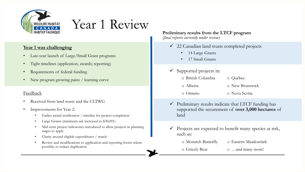

Year 1 Review

#### **Year 1 was challenging**

- Late-year launch of Large/Small Grant programs
- Tight timelines (application; awards; reporting)
- Requirements of federal funding
- New program growing pains / learning curve

#### Feedback

- Received from land trusts and the CLTWG
- Improvements for Year 2:
	- Earlier award notification / timeline for project completion
	- Large Grants (minimum ask increased to \$30,001)
	- Mid-term project milestones introduced to allow projects in planning stages to apply
	- Clarity around eligible expenditures / match
	- Review and modifications to application and reporting forms where possible, to reduce duplication

**Preliminary results from the LTCF program**  *(final reports currently under review)*

- $\checkmark$  22 Canadian land trusts completed projects
	- 14 Large Grants
	- 17 Small Grants
- $\checkmark$  Supported projects in: o British Columbia o Québec o Alberta o New Brunswick o Ontario o Nova Scotia
- $\checkmark$  Preliminary results indicate that LTCF funding has supported the securement of **over 3,000 hectares** of land
- $\checkmark$  Projects are expected to benefit many species at risk, such as:
	-
	- o Monarch Butterfly o Eastern Meadowlark

o Grizzly Bear o …and many more!